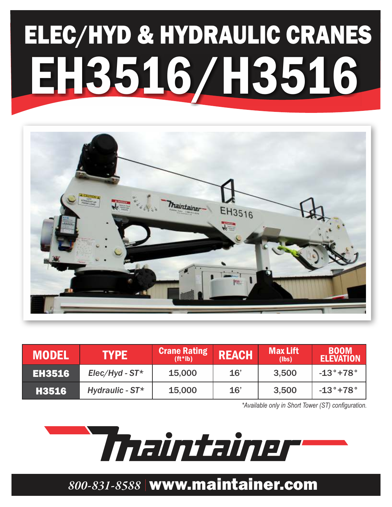# ELEC/HYD & HYDRAULIC CRANES EH3516/H3516



| <b>MODEL</b>  | <b>TYPE</b>         | <b>Crane Rating</b><br>$(ft^*$ lb) | <b>REACH</b> | <b>Max Lift</b><br>(lbs) | <b>BOOM</b><br><b>ELEVATION</b> |
|---------------|---------------------|------------------------------------|--------------|--------------------------|---------------------------------|
| <b>EH3516</b> | $Elec/Hyd$ - $ST^*$ | 15,000                             | 16'          | 3,500                    | $-13^{\circ}$ +78 $^{\circ}$    |
| <b>H3516</b>  | Hydraulic - $ST^*$  | 15,000                             | 16'          | 3,500                    | $-13^\circ$ +78 $^\circ$        |

*\*Available only in Short Tower (ST) configuration.*

Thaintainer

### *800-831-8588* www.maintainer.com